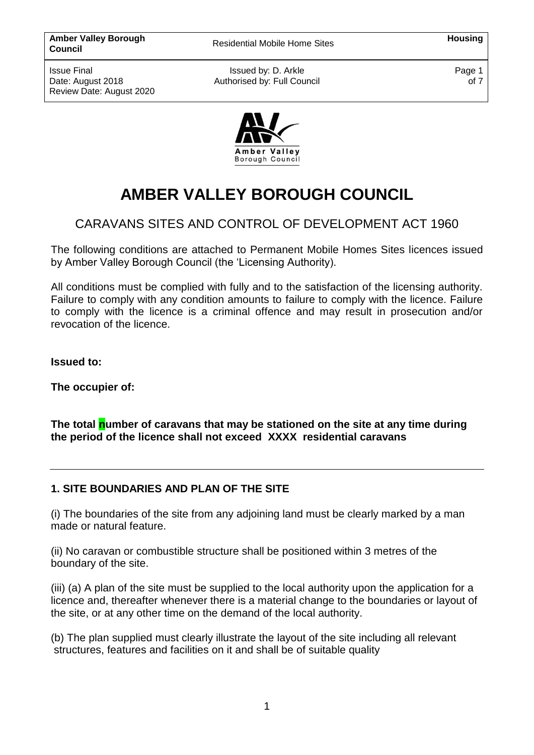Issued by: D. Arkle Authorised by: Full Council Page 1 of 7



# **AMBER VALLEY BOROUGH COUNCIL**

# CARAVANS SITES AND CONTROL OF DEVELOPMENT ACT 1960

The following conditions are attached to Permanent Mobile Homes Sites licences issued by Amber Valley Borough Council (the 'Licensing Authority).

All conditions must be complied with fully and to the satisfaction of the licensing authority. Failure to comply with any condition amounts to failure to comply with the licence. Failure to comply with the licence is a criminal offence and may result in prosecution and/or revocation of the licence.

**Issued to:**

**The occupier of:** 

**The total number of caravans that may be stationed on the site at any time during the period of the licence shall not exceed XXXX residential caravans**

# **1. SITE BOUNDARIES AND PLAN OF THE SITE**

(i) The boundaries of the site from any adjoining land must be clearly marked by a man made or natural feature.

(ii) No caravan or combustible structure shall be positioned within 3 metres of the boundary of the site.

(iii) (a) A plan of the site must be supplied to the local authority upon the application for a licence and, thereafter whenever there is a material change to the boundaries or layout of the site, or at any other time on the demand of the local authority.

(b) The plan supplied must clearly illustrate the layout of the site including all relevant structures, features and facilities on it and shall be of suitable quality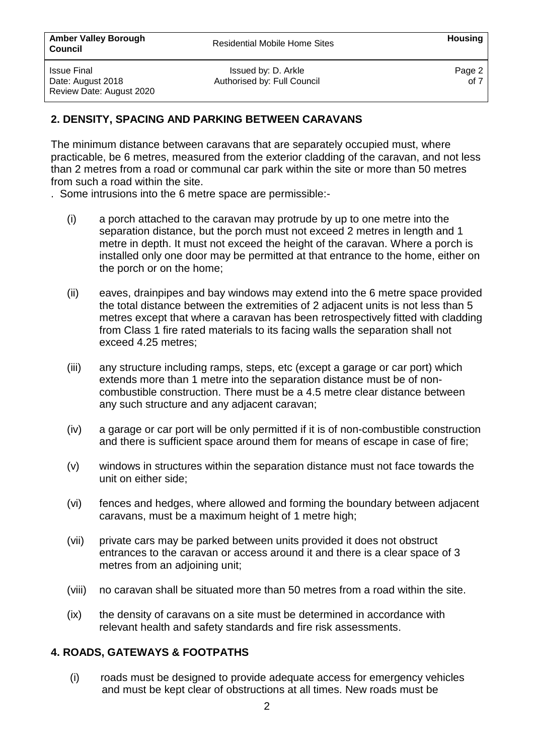Page 2 of 7

# **2. DENSITY, SPACING AND PARKING BETWEEN CARAVANS**

The minimum distance between caravans that are separately occupied must, where practicable, be 6 metres, measured from the exterior cladding of the caravan, and not less than 2 metres from a road or communal car park within the site or more than 50 metres from such a road within the site.

. Some intrusions into the 6 metre space are permissible:-

- (i) a porch attached to the caravan may protrude by up to one metre into the separation distance, but the porch must not exceed 2 metres in length and 1 metre in depth. It must not exceed the height of the caravan. Where a porch is installed only one door may be permitted at that entrance to the home, either on the porch or on the home;
- (ii) eaves, drainpipes and bay windows may extend into the 6 metre space provided the total distance between the extremities of 2 adjacent units is not less than 5 metres except that where a caravan has been retrospectively fitted with cladding from Class 1 fire rated materials to its facing walls the separation shall not exceed 4.25 metres;
- (iii) any structure including ramps, steps, etc (except a garage or car port) which extends more than 1 metre into the separation distance must be of noncombustible construction. There must be a 4.5 metre clear distance between any such structure and any adjacent caravan;
- (iv) a garage or car port will be only permitted if it is of non-combustible construction and there is sufficient space around them for means of escape in case of fire;
- (v) windows in structures within the separation distance must not face towards the unit on either side;
- (vi) fences and hedges, where allowed and forming the boundary between adjacent caravans, must be a maximum height of 1 metre high;
- (vii) private cars may be parked between units provided it does not obstruct entrances to the caravan or access around it and there is a clear space of 3 metres from an adjoining unit;
- (viii) no caravan shall be situated more than 50 metres from a road within the site.
- (ix) the density of caravans on a site must be determined in accordance with relevant health and safety standards and fire risk assessments.

#### **4. ROADS, GATEWAYS & FOOTPATHS**

(i) roads must be designed to provide adequate access for emergency vehicles and must be kept clear of obstructions at all times. New roads must be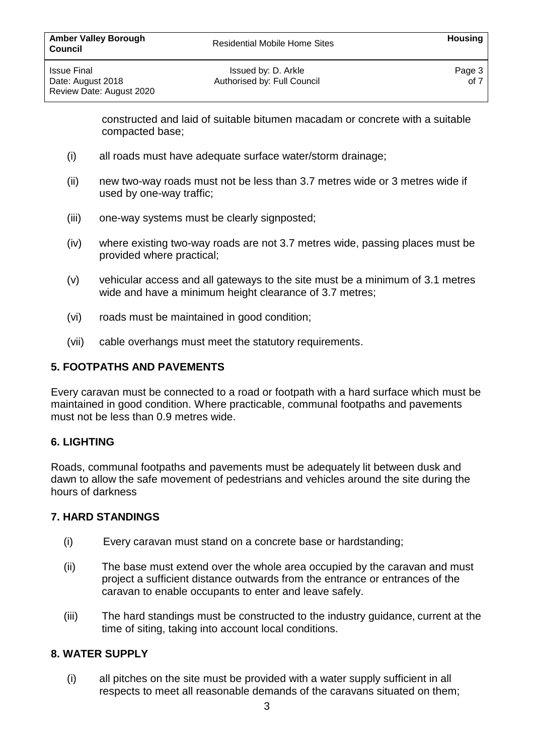constructed and laid of suitable bitumen macadam or concrete with a suitable compacted base;

- (i) all roads must have adequate surface water/storm drainage;
- (ii) new two-way roads must not be less than 3.7 metres wide or 3 metres wide if used by one-way traffic;
- (iii) one-way systems must be clearly signposted;
- (iv) where existing two-way roads are not 3.7 metres wide, passing places must be provided where practical;
- (v) vehicular access and all gateways to the site must be a minimum of 3.1 metres wide and have a minimum height clearance of 3.7 metres;
- (vi) roads must be maintained in good condition;
- (vii) cable overhangs must meet the statutory requirements.

#### **5. FOOTPATHS AND PAVEMENTS**

Every caravan must be connected to a road or footpath with a hard surface which must be maintained in good condition. Where practicable, communal footpaths and pavements must not be less than 0.9 metres wide.

#### **6. LIGHTING**

Roads, communal footpaths and pavements must be adequately lit between dusk and dawn to allow the safe movement of pedestrians and vehicles around the site during the hours of darkness

#### **7. HARD STANDINGS**

- (i) Every caravan must stand on a concrete base or hardstanding;
- (ii) The base must extend over the whole area occupied by the caravan and must project a sufficient distance outwards from the entrance or entrances of the caravan to enable occupants to enter and leave safely.
- (iii) The hard standings must be constructed to the industry guidance, current at the time of siting, taking into account local conditions.

#### **8. WATER SUPPLY**

(i) all pitches on the site must be provided with a water supply sufficient in all respects to meet all reasonable demands of the caravans situated on them;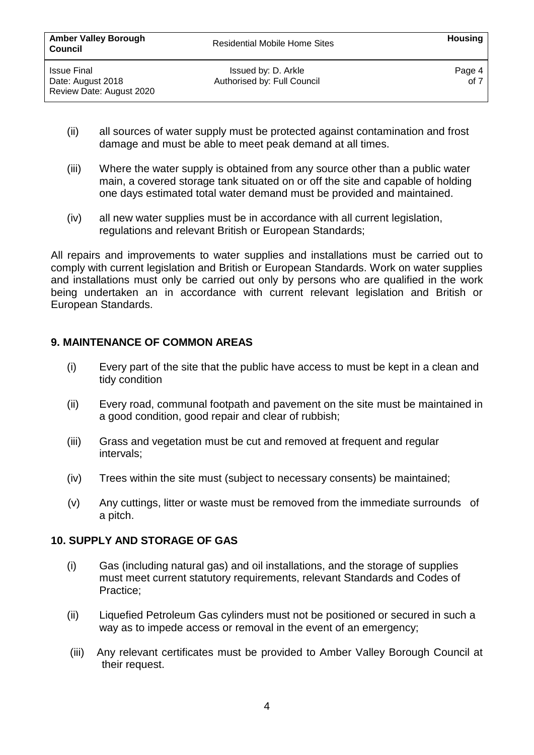- (ii) all sources of water supply must be protected against contamination and frost damage and must be able to meet peak demand at all times.
- (iii) Where the water supply is obtained from any source other than a public water main, a covered storage tank situated on or off the site and capable of holding one days estimated total water demand must be provided and maintained.
- (iv) all new water supplies must be in accordance with all current legislation, regulations and relevant British or European Standards;

All repairs and improvements to water supplies and installations must be carried out to comply with current legislation and British or European Standards. Work on water supplies and installations must only be carried out only by persons who are qualified in the work being undertaken an in accordance with current relevant legislation and British or European Standards.

# **9. MAINTENANCE OF COMMON AREAS**

Review Date: August 2020

- (i) Every part of the site that the public have access to must be kept in a clean and tidy condition
- (ii) Every road, communal footpath and pavement on the site must be maintained in a good condition, good repair and clear of rubbish;
- (iii) Grass and vegetation must be cut and removed at frequent and regular intervals;
- (iv) Trees within the site must (subject to necessary consents) be maintained;
- (v) Any cuttings, litter or waste must be removed from the immediate surrounds of a pitch.

# **10. SUPPLY AND STORAGE OF GAS**

- (i) Gas (including natural gas) and oil installations, and the storage of supplies must meet current statutory requirements, relevant Standards and Codes of Practice;
- (ii) Liquefied Petroleum Gas cylinders must not be positioned or secured in such a way as to impede access or removal in the event of an emergency;
- (iii) Any relevant certificates must be provided to Amber Valley Borough Council at their request.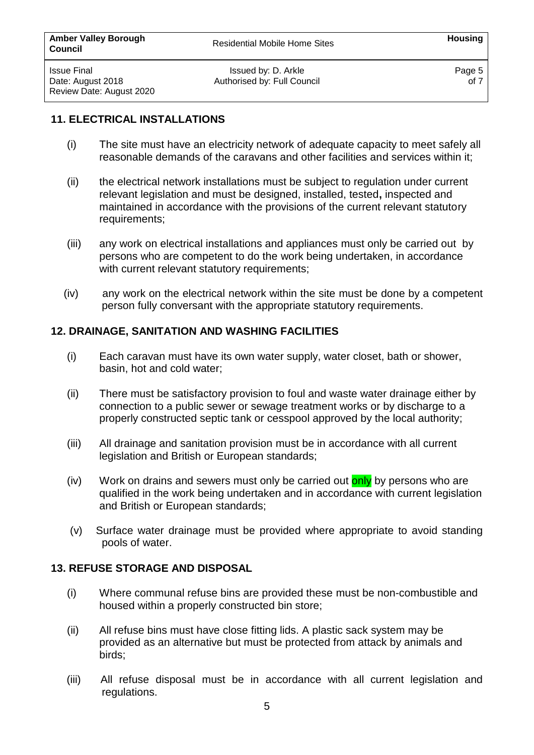#### **11. ELECTRICAL INSTALLATIONS**

- (i) The site must have an electricity network of adequate capacity to meet safely all reasonable demands of the caravans and other facilities and services within it;
- (ii) the electrical network installations must be subject to regulation under current relevant legislation and must be designed, installed, tested**,** inspected and maintained in accordance with the provisions of the current relevant statutory requirements;
- (iii) any work on electrical installations and appliances must only be carried out by persons who are competent to do the work being undertaken, in accordance with current relevant statutory requirements;
- (iv) any work on the electrical network within the site must be done by a competent person fully conversant with the appropriate statutory requirements.

#### **12. DRAINAGE, SANITATION AND WASHING FACILITIES**

- (i) Each caravan must have its own water supply, water closet, bath or shower, basin, hot and cold water;
- (ii) There must be satisfactory provision to foul and waste water drainage either by connection to a public sewer or sewage treatment works or by discharge to a properly constructed septic tank or cesspool approved by the local authority;
- (iii) All drainage and sanitation provision must be in accordance with all current legislation and British or European standards;
- (iv) Work on drains and sewers must only be carried out only by persons who are qualified in the work being undertaken and in accordance with current legislation and British or European standards;
- (v) Surface water drainage must be provided where appropriate to avoid standing pools of water.

#### **13. REFUSE STORAGE AND DISPOSAL**

- (i) Where communal refuse bins are provided these must be non-combustible and housed within a properly constructed bin store;
- (ii) All refuse bins must have close fitting lids. A plastic sack system may be provided as an alternative but must be protected from attack by animals and birds;
- (iii) All refuse disposal must be in accordance with all current legislation and regulations.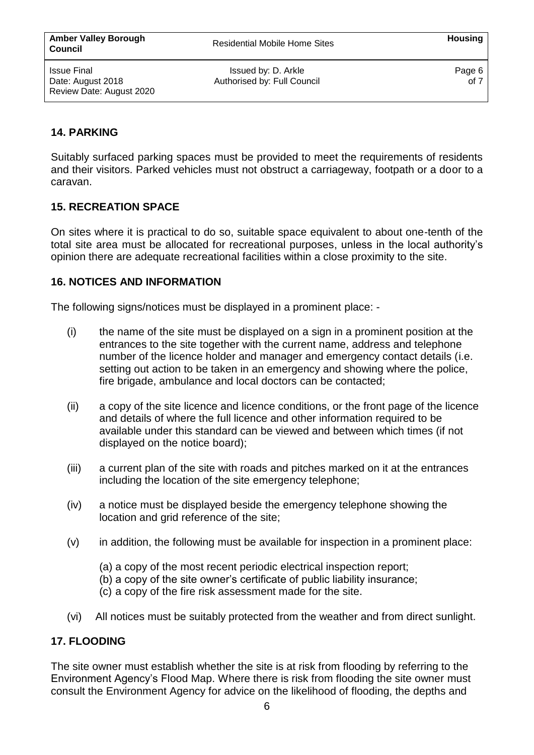Issued by: D. Arkle Authorised by: Full Council Page 6 of 7

# **14. PARKING**

Suitably surfaced parking spaces must be provided to meet the requirements of residents and their visitors. Parked vehicles must not obstruct a carriageway, footpath or a door to a caravan.

# **15. RECREATION SPACE**

On sites where it is practical to do so, suitable space equivalent to about one-tenth of the total site area must be allocated for recreational purposes, unless in the local authority's opinion there are adequate recreational facilities within a close proximity to the site.

# **16. NOTICES AND INFORMATION**

The following signs/notices must be displayed in a prominent place: -

- (i) the name of the site must be displayed on a sign in a prominent position at the entrances to the site together with the current name, address and telephone number of the licence holder and manager and emergency contact details (i.e. setting out action to be taken in an emergency and showing where the police, fire brigade, ambulance and local doctors can be contacted;
- (ii) a copy of the site licence and licence conditions, or the front page of the licence and details of where the full licence and other information required to be available under this standard can be viewed and between which times (if not displayed on the notice board);
- (iii) a current plan of the site with roads and pitches marked on it at the entrances including the location of the site emergency telephone;
- (iv) a notice must be displayed beside the emergency telephone showing the location and grid reference of the site;
- (v) in addition, the following must be available for inspection in a prominent place:
	- (a) a copy of the most recent periodic electrical inspection report;
	- (b) a copy of the site owner's certificate of public liability insurance;
	- (c) a copy of the fire risk assessment made for the site.
- (vi) All notices must be suitably protected from the weather and from direct sunlight.

# **17. FLOODING**

The site owner must establish whether the site is at risk from flooding by referring to the Environment Agency's Flood Map. Where there is risk from flooding the site owner must consult the Environment Agency for advice on the likelihood of flooding, the depths and